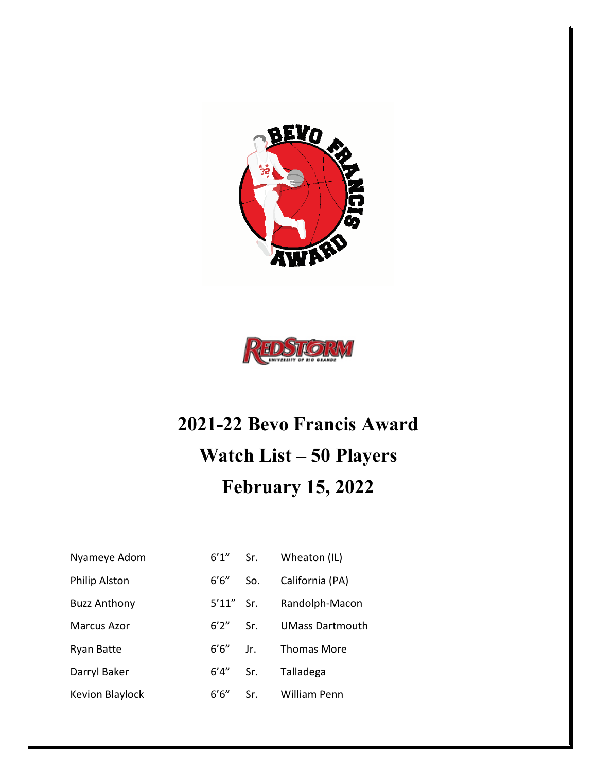



## **2021-22 Bevo Francis Award Watch List – 50 Players February 15, 2022**

| Nyameye Adom           |              | $6'1''$ Sr. | Wheaton (IL)           |
|------------------------|--------------|-------------|------------------------|
| <b>Philip Alston</b>   | $6'6''$ So.  |             | California (PA)        |
| <b>Buzz Anthony</b>    | $5'11''$ Sr. |             | Randolph-Macon         |
| <b>Marcus Azor</b>     | $6'2''$ Sr.  |             | <b>UMass Dartmouth</b> |
| <b>Ryan Batte</b>      | $6'6''$ Jr.  |             | Thomas More            |
| Darryl Baker           | 6'4" Sr.     |             | Talladega              |
| <b>Kevion Blaylock</b> | 6'6''        | Sr.         | William Penn           |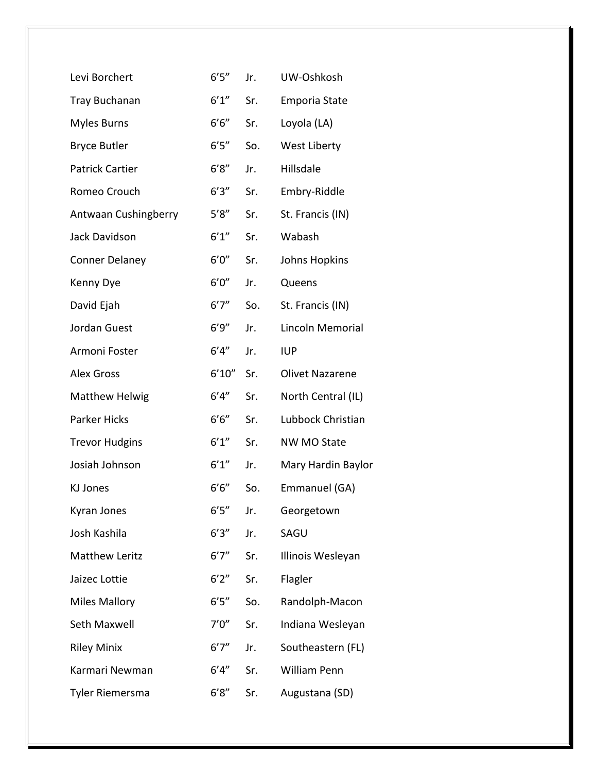| Levi Borchert          | 6'5''  | Jr. | UW-Oshkosh             |
|------------------------|--------|-----|------------------------|
| <b>Tray Buchanan</b>   | 6'1''  | Sr. | <b>Emporia State</b>   |
| <b>Myles Burns</b>     | 6'6''  | Sr. | Loyola (LA)            |
| <b>Bryce Butler</b>    | 6'5''  | So. | West Liberty           |
| <b>Patrick Cartier</b> | 6'8''  | Jr. | Hillsdale              |
| Romeo Crouch           | 6'3''  | Sr. | Embry-Riddle           |
| Antwaan Cushingberry   | 5'8''  | Sr. | St. Francis (IN)       |
| Jack Davidson          | 6'1''  | Sr. | Wabash                 |
| <b>Conner Delaney</b>  | 6'0''  | Sr. | Johns Hopkins          |
| Kenny Dye              | 6'0''  | Jr. | Queens                 |
| David Ejah             | 6'7''  | So. | St. Francis (IN)       |
| Jordan Guest           | 6'9''  | Jr. | Lincoln Memorial       |
| Armoni Foster          | 6'4''  | Jr. | <b>IUP</b>             |
| <b>Alex Gross</b>      | 6'10'' | Sr. | <b>Olivet Nazarene</b> |
| <b>Matthew Helwig</b>  | 6'4''  | Sr. | North Central (IL)     |
| <b>Parker Hicks</b>    | 6'6''  | Sr. | Lubbock Christian      |
| <b>Trevor Hudgins</b>  | 6'1''  | Sr. | <b>NW MO State</b>     |
| Josiah Johnson         | 6'1''  | Jr. | Mary Hardin Baylor     |
| KJ Jones               | 6'6''  | So. | Emmanuel (GA)          |
| Kyran Jones            | 6'5''  | Jr. | Georgetown             |
| Josh Kashila           | 6'3''  | Jr. | SAGU                   |
| <b>Matthew Leritz</b>  | 6'7''  | Sr. | Illinois Wesleyan      |
| Jaizec Lottie          | 6'2''  | Sr. | Flagler                |
| <b>Miles Mallory</b>   | 6'5''  | So. | Randolph-Macon         |
| Seth Maxwell           | 7'0''  | Sr. | Indiana Wesleyan       |
| <b>Riley Minix</b>     | 6'7''  | Jr. | Southeastern (FL)      |
| Karmari Newman         | 6'4''  | Sr. | William Penn           |
| Tyler Riemersma        | 6'8''  | Sr. | Augustana (SD)         |